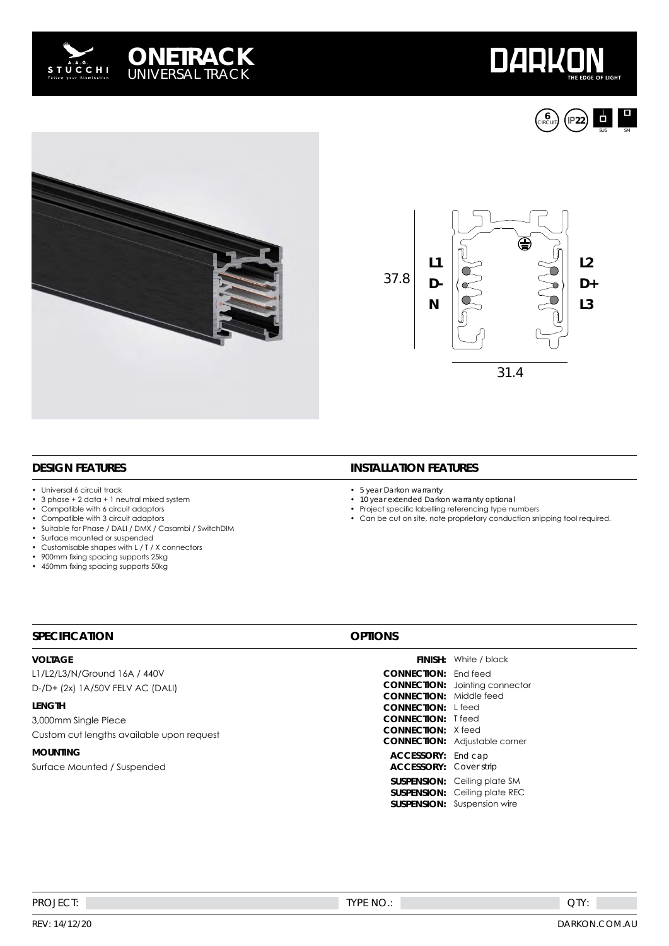









## **DESIGN FEATURES**

• Universal 6 circuit track<br>• 3 phase + 2 data + 1 ne

**SPECIFICATION**

- $3$  phase +  $2$  data + 1 neutral mixed system<br>• Compatible with 6 circuit adaptors
- Compatible with 6 circuit adaptors
- Compatible with 3 circuit adaptors<br>• Suitable for Phase (DALL(DMX / Co
- Suitable for Phase / DALI / DMX / Casambi / SwitchDIM
- Surface mounted or suspended<br>• Customisable shapes with L / T /
- Customisable shapes with  $L / T / X$  connectors<br>• 900mm fixing spacing supports 25kg
- 900mm fixing spacing supports 25kg • 450mm fixing spacing supports 50kg

### **INSTALLATION FEATURES**

- 
- 5 year Darkon warranty<br>• 10 year extended Darko • 10 year extended Darkon warranty optional
- Project specific labelling referencing type numbers

**SUSPENSION:** Ceiling plate SM **SUSPENSION:** Ceiling plate REC **SUSPENSION:** Suspension wire

• Can be cut on site, note proprietary conduction snipping tool required.

#### **VOLTAGE** L1/L2/L3/N/Ground 16A / 440V D-/D+ (2x) 1A/50V FELV AC (DALI) **LENGTH** 3,000mm Single Piece Custom cut lengths available upon request **MOUNTING** Surface Mounted / Suspended **FINISH:** White / black **CONNECTION:** End feed **CONNECTION:** Jointing connector **CONNECTION:** Middle feed **CONNECTION:** L feed **CONNECTION:** T feed **CONNECTION:** X feed **CONNECTION:** Adjustable corner **ACCESSORY:** End cap **ACCESSORY:** Cover strip

#### QTY: PROJECT: TYPE NO.: